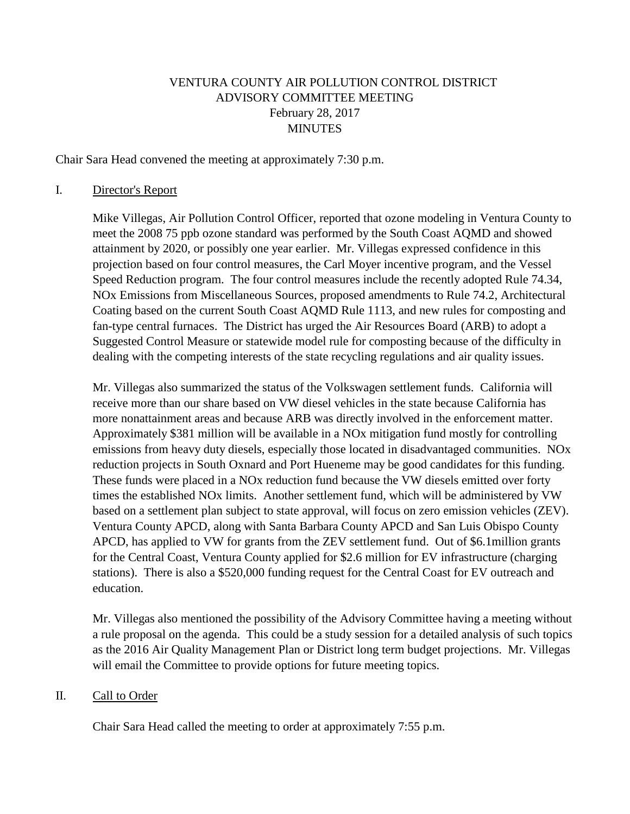## VENTURA COUNTY AIR POLLUTION CONTROL DISTRICT ADVISORY COMMITTEE MEETING February 28, 2017 MINUTES

Chair Sara Head convened the meeting at approximately 7:30 p.m.

#### I. Director's Report

Mike Villegas, Air Pollution Control Officer, reported that ozone modeling in Ventura County to meet the 2008 75 ppb ozone standard was performed by the South Coast AQMD and showed attainment by 2020, or possibly one year earlier. Mr. Villegas expressed confidence in this projection based on four control measures, the Carl Moyer incentive program, and the Vessel Speed Reduction program. The four control measures include the recently adopted Rule 74.34, NOx Emissions from Miscellaneous Sources, proposed amendments to Rule 74.2, Architectural Coating based on the current South Coast AQMD Rule 1113, and new rules for composting and fan-type central furnaces. The District has urged the Air Resources Board (ARB) to adopt a Suggested Control Measure or statewide model rule for composting because of the difficulty in dealing with the competing interests of the state recycling regulations and air quality issues.

Mr. Villegas also summarized the status of the Volkswagen settlement funds. California will receive more than our share based on VW diesel vehicles in the state because California has more nonattainment areas and because ARB was directly involved in the enforcement matter. Approximately \$381 million will be available in a NOx mitigation fund mostly for controlling emissions from heavy duty diesels, especially those located in disadvantaged communities. NOx reduction projects in South Oxnard and Port Hueneme may be good candidates for this funding. These funds were placed in a NOx reduction fund because the VW diesels emitted over forty times the established NOx limits. Another settlement fund, which will be administered by VW based on a settlement plan subject to state approval, will focus on zero emission vehicles (ZEV). Ventura County APCD, along with Santa Barbara County APCD and San Luis Obispo County APCD, has applied to VW for grants from the ZEV settlement fund. Out of \$6.1million grants for the Central Coast, Ventura County applied for \$2.6 million for EV infrastructure (charging stations). There is also a \$520,000 funding request for the Central Coast for EV outreach and education.

Mr. Villegas also mentioned the possibility of the Advisory Committee having a meeting without a rule proposal on the agenda. This could be a study session for a detailed analysis of such topics as the 2016 Air Quality Management Plan or District long term budget projections. Mr. Villegas will email the Committee to provide options for future meeting topics.

#### II. Call to Order

Chair Sara Head called the meeting to order at approximately 7:55 p.m.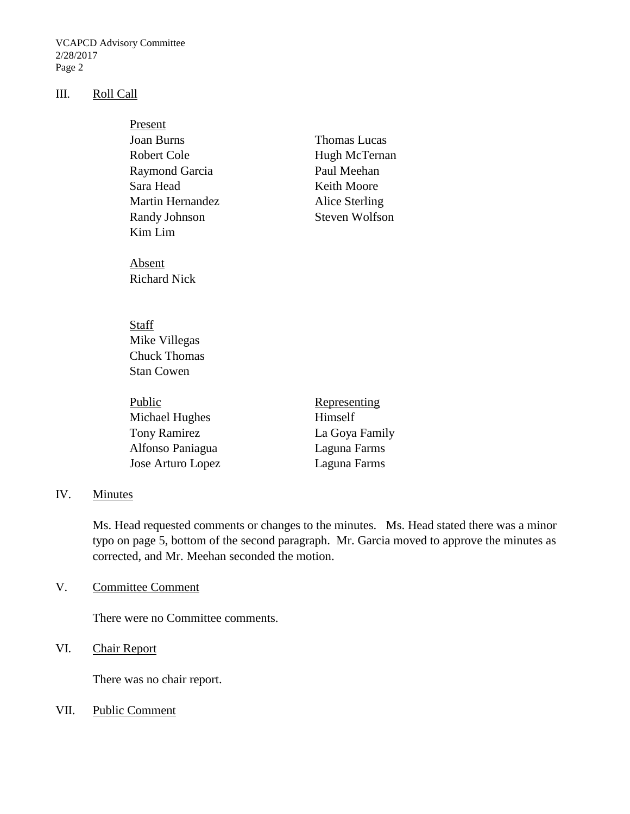VCAPCD Advisory Committee 2/28/2017 Page 2

#### III. Roll Call

| Present                                |                       |
|----------------------------------------|-----------------------|
| <b>Joan Burns</b>                      | Thomas Lucas          |
| Robert Cole                            | Hugh McTernan         |
| Raymond Garcia                         | Paul Meehan           |
| Sara Head                              | Keith Moore           |
| <b>Martin Hernandez</b>                | Alice Sterling        |
| Randy Johnson                          | <b>Steven Wolfson</b> |
| Kim Lim                                |                       |
| Absent<br><b>Richard Nick</b>          |                       |
| Staff<br>Mike Villegas<br>Chuck Thomas |                       |
| Stan Cowen                             |                       |

| Public              | Representing   |
|---------------------|----------------|
| Michael Hughes      | Himself        |
| <b>Tony Ramirez</b> | La Goya Family |
| Alfonso Paniagua    | Laguna Farms   |
| Jose Arturo Lopez   | Laguna Farms   |

# IV. Minutes

Ms. Head requested comments or changes to the minutes. Ms. Head stated there was a minor typo on page 5, bottom of the second paragraph. Mr. Garcia moved to approve the minutes as corrected, and Mr. Meehan seconded the motion.

# V. Committee Comment

There were no Committee comments.

## VI. Chair Report

There was no chair report.

VII. Public Comment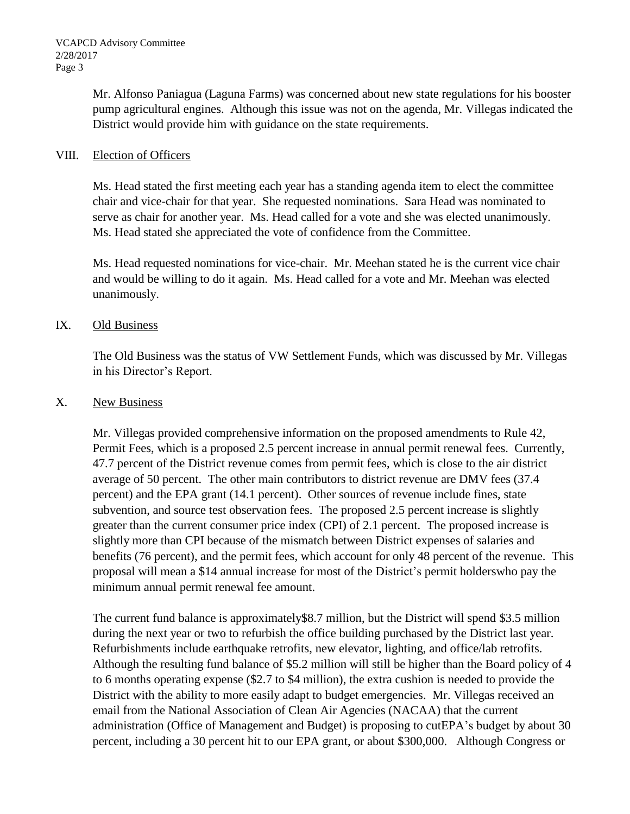Mr. Alfonso Paniagua (Laguna Farms) was concerned about new state regulations for his booster pump agricultural engines. Although this issue was not on the agenda, Mr. Villegas indicated the District would provide him with guidance on the state requirements.

### VIII. Election of Officers

Ms. Head stated the first meeting each year has a standing agenda item to elect the committee chair and vice-chair for that year. She requested nominations. Sara Head was nominated to serve as chair for another year. Ms. Head called for a vote and she was elected unanimously. Ms. Head stated she appreciated the vote of confidence from the Committee.

Ms. Head requested nominations for vice-chair. Mr. Meehan stated he is the current vice chair and would be willing to do it again. Ms. Head called for a vote and Mr. Meehan was elected unanimously.

### IX. Old Business

The Old Business was the status of VW Settlement Funds, which was discussed by Mr. Villegas in his Director's Report.

### X. New Business

Mr. Villegas provided comprehensive information on the proposed amendments to Rule 42, Permit Fees, which is a proposed 2.5 percent increase in annual permit renewal fees. Currently, 47.7 percent of the District revenue comes from permit fees, which is close to the air district average of 50 percent. The other main contributors to district revenue are DMV fees (37.4 percent) and the EPA grant (14.1 percent). Other sources of revenue include fines, state subvention, and source test observation fees. The proposed 2.5 percent increase is slightly greater than the current consumer price index (CPI) of 2.1 percent. The proposed increase is slightly more than CPI because of the mismatch between District expenses of salaries and benefits (76 percent), and the permit fees, which account for only 48 percent of the revenue. This proposal will mean a \$14 annual increase for most of the District's permit holderswho pay the minimum annual permit renewal fee amount.

The current fund balance is approximately\$8.7 million, but the District will spend \$3.5 million during the next year or two to refurbish the office building purchased by the District last year. Refurbishments include earthquake retrofits, new elevator, lighting, and office/lab retrofits. Although the resulting fund balance of \$5.2 million will still be higher than the Board policy of 4 to 6 months operating expense (\$2.7 to \$4 million), the extra cushion is needed to provide the District with the ability to more easily adapt to budget emergencies. Mr. Villegas received an email from the National Association of Clean Air Agencies (NACAA) that the current administration (Office of Management and Budget) is proposing to cutEPA's budget by about 30 percent, including a 30 percent hit to our EPA grant, or about \$300,000. Although Congress or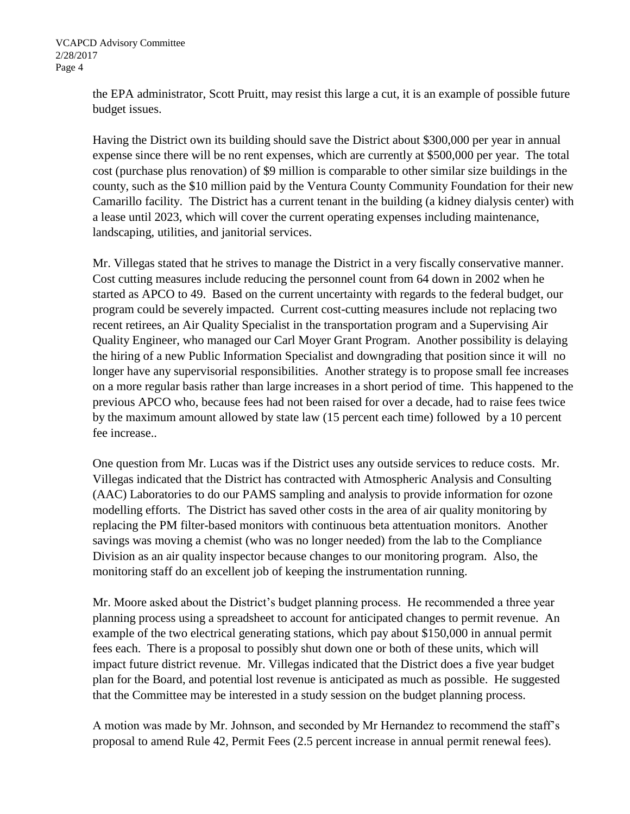the EPA administrator, Scott Pruitt, may resist this large a cut, it is an example of possible future budget issues.

Having the District own its building should save the District about \$300,000 per year in annual expense since there will be no rent expenses, which are currently at \$500,000 per year. The total cost (purchase plus renovation) of \$9 million is comparable to other similar size buildings in the county, such as the \$10 million paid by the Ventura County Community Foundation for their new Camarillo facility. The District has a current tenant in the building (a kidney dialysis center) with a lease until 2023, which will cover the current operating expenses including maintenance, landscaping, utilities, and janitorial services.

Mr. Villegas stated that he strives to manage the District in a very fiscally conservative manner. Cost cutting measures include reducing the personnel count from 64 down in 2002 when he started as APCO to 49. Based on the current uncertainty with regards to the federal budget, our program could be severely impacted. Current cost-cutting measures include not replacing two recent retirees, an Air Quality Specialist in the transportation program and a Supervising Air Quality Engineer, who managed our Carl Moyer Grant Program. Another possibility is delaying the hiring of a new Public Information Specialist and downgrading that position since it will no longer have any supervisorial responsibilities. Another strategy is to propose small fee increases on a more regular basis rather than large increases in a short period of time. This happened to the previous APCO who, because fees had not been raised for over a decade, had to raise fees twice by the maximum amount allowed by state law (15 percent each time) followed by a 10 percent fee increase..

One question from Mr. Lucas was if the District uses any outside services to reduce costs. Mr. Villegas indicated that the District has contracted with Atmospheric Analysis and Consulting (AAC) Laboratories to do our PAMS sampling and analysis to provide information for ozone modelling efforts. The District has saved other costs in the area of air quality monitoring by replacing the PM filter-based monitors with continuous beta attentuation monitors. Another savings was moving a chemist (who was no longer needed) from the lab to the Compliance Division as an air quality inspector because changes to our monitoring program. Also, the monitoring staff do an excellent job of keeping the instrumentation running.

Mr. Moore asked about the District's budget planning process. He recommended a three year planning process using a spreadsheet to account for anticipated changes to permit revenue. An example of the two electrical generating stations, which pay about \$150,000 in annual permit fees each. There is a proposal to possibly shut down one or both of these units, which will impact future district revenue. Mr. Villegas indicated that the District does a five year budget plan for the Board, and potential lost revenue is anticipated as much as possible. He suggested that the Committee may be interested in a study session on the budget planning process.

A motion was made by Mr. Johnson, and seconded by Mr Hernandez to recommend the staff's proposal to amend Rule 42, Permit Fees (2.5 percent increase in annual permit renewal fees).